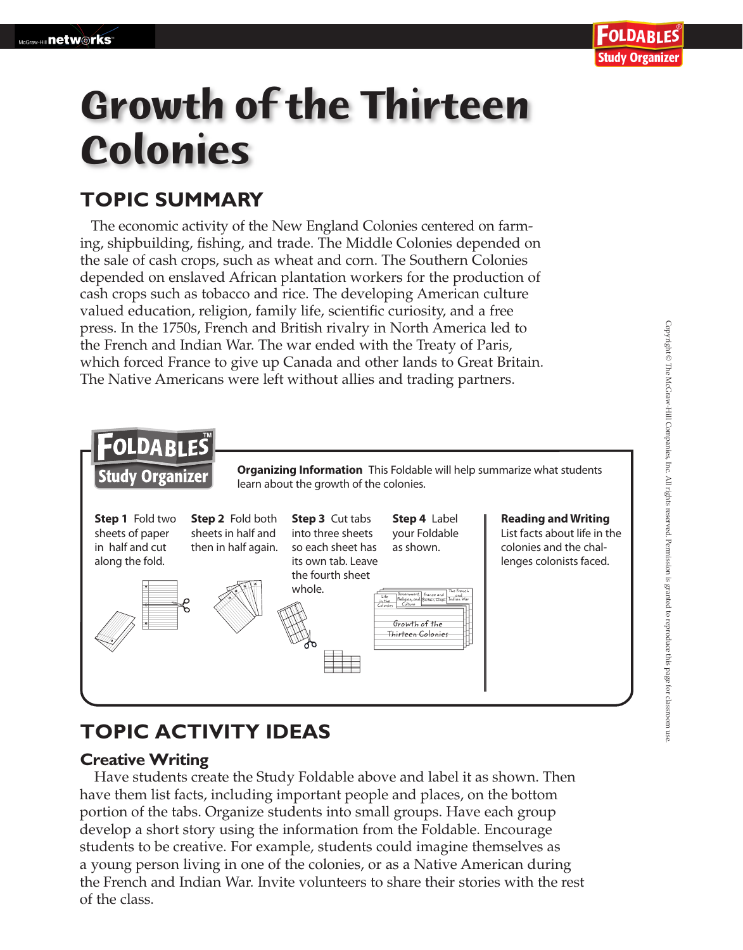# **Growth of the Thirteen Colonies**

## **TOPIC SUMMARY**

The economic activity of the New England Colonies centered on farming, shipbuilding, fishing, and trade. The Middle Colonies depended on the sale of cash crops, such as wheat and corn. The Southern Colonies depended on enslaved African plantation workers for the production of cash crops such as tobacco and rice. The developing American culture valued education, religion, family life, scientific curiosity, and a free press. In the 1750s, French and British rivalry in North America led to the French and Indian War. The war ended with the Treaty of Paris, which forced France to give up Canada and other lands to Great Britain. The Native Americans were left without allies and trading partners.



## **TOPIC ACTIVITY IDEAS**

#### **Creative Writing**

 Have students create the Study Foldable above and label it as shown. Then have them list facts, including important people and places, on the bottom portion of the tabs. Organize students into small groups. Have each group develop a short story using the information from the Foldable. Encourage students to be creative. For example, students could imagine themselves as a young person living in one of the colonies, or as a Native American during the French and Indian War. Invite volunteers to share their stories with the rest of the class.